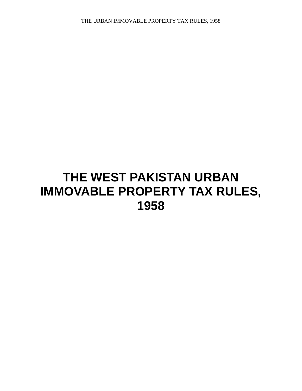# **THE WEST PAKISTAN URBAN IMMOVABLE PROPERTY TAX RULES, 1958**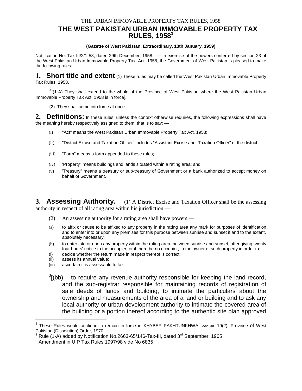# **THE WEST PAKISTAN URBAN IMMOVABLE PROPERTY TAX RULES, 1958<sup>1</sup>**

#### **(Gazette of West Pakistan, Extraordinary, 13th January, 1959)**

Notification No. Tax III/2/1-58, dated 29th December, 1958. ---- In exercise of the powers conferred by section 23 of the West Pakistan Urban Immovable Property Tax, Act, 1958, the Government of West Pakistan is pleased to make the following rules:-

**1. Short title and extent** (1) These rules may be called the West Pakistan Urban Immovable Property Tax Rules, 1958.

 $2$ [(1-A) They shall extend to the whole of the Province of West Pakistan where the West Pakistan Urban Immovable Property Tax Act, 1958 is in force].

(2) They shall come into force at once.

**2. Definitions:** In these rules, unless the context otherwise requires, the following expressions shall have the meaning hereby respectively assigned to them, that is to say: —

- (i) "Act" means the West Pakistan Urban Immovable Property Tax Act, 1958;
- (ii) "District Excise and Taxation Officer" includes "Assistant Excise and Taxation Officer" of the district;
- (iii) "Form" means a form appended to these rules;
- (iv) "Property" means buildings and lands situated within a rating area; and
- (v) 'Treasury" means a treasury or sub-treasury of Government or a bank authorized to accept money on behalf of Government.

**3. Assessing Authority.**—(1) A District Excise and Taxation Officer shall be the assessing authority in respect of all rating area within his jurisdiction:—

- (2) An assessing authority for a rating area shall have powers:—
- (a) to affix or cause to be affixed to any property in the rating area any mark for purposes of identification and to enter into or upon any premises for this purpose between sunrise and sunset if and to the extent, absolutely necessary;
- (b) to enter into or upon any property within the rating area, between sunrise and sunset, after giving twenty four hours' notice to the occupier, or if there be no occupier, to the owner of such property in order to:-
- (i) decide whether the return made in respect thereof is correct;
- (ii) assess its annual value;

 $\overline{a}$ 

- (iii) ascertain if is assessable to tax;
- $3$ [(bb) to require any revenue authority responsible for keeping the land record, and the sub-registrar responsible for maintaining records of registration of sale deeds of lands and building, to intimate the particulars about the ownership and measurements of the area of a land or building and to ask any local authority or urban development authority to intimate the covered area of the building or a portion thereof according to the authentic site plan approved

<sup>1</sup> These Rules would continue to remain in force in KHYBER PAKHTUNKHWA. *vide Art.* 19(2), Province of West Pakistan (Dissolution) Order, 1970

 $^2$  Rule (1-A) added by Notification No.2663-65/146-Tax-III, dated 3<sup>rd</sup> September, 1965

<sup>3</sup> Amendment in UIP Tax Rules 1997/98 vide No 6835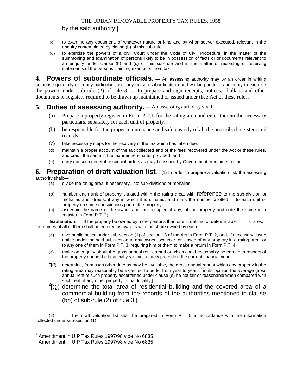#### by the said authority;]

- (c) to examine any document, of whatever nature or kind and by whomsoever executed, relevant in the enquiry contemplated by clause (b) of this sub-rule;
- (d) to exercise the powers of a civil Court under the Code of Civil Procedure, in the matter of the summoning and examination of persons likely to be in possession of facts or of documents relevant to an enquiry under clause (b) and (c) of this sub-rule and in the matter of recording or receiving statements of the persons claiming exemption from tax.

**4. Powers of subordinate officials. —** An assessing authority may by an order in writing authorise generally or in any particular case, any person subordinate to and working under its authority to exercise the powers under sub-rule (2) of rule 3, or to prepare and sign receipts, notices, challans and other documents or registers required to be drawn up maintained or issued under thee Act or these rules.

# **5. Duties of assessing authority.** — An assessing authority shall:—

- (a) Prepare a property register in Form P.T.I, for the rating area and enter therein the necessary particulars, separately for each unit of property;
- (b) be responsible for the proper maintenance and safe custody of all the prescribed registers and records;
- (c) take necessary steps for the recovery of the tax which has fallen due;
- (d) maintain a proper account of the tax collected and of the fees recovered under the Act or these rules, and credit the same in the manner hereinafter provided; and
- (e) carry out such general or special orders as may be issued by Government from time to time.

#### **6. Preparation of draft valuation list**.—(1) In order to prepare a valuation list, the assessing authority shall:—

(a) divide the rating area, if necessary, into sub-divisions or mohallas;

- (b) number each unit of property situated within the rating area, with reference to the sub-division or mohallas and streets, if any in which it is situated, and mark the number allotted to each unit or property on some conspicuous part of the property;
- (c) ascertain the name of the owner and the occupier, if any, of the property and note the same in a register in Form P.T. 2;

**Explanation:** — If the property be owned by more persons than one in defined or determinable shares, the names of all of them shall be entered as owners with the share owned by each.

- (d) give public notice under sub-section (1) of section 18 of the Act in Form P.T. 2, and, if necessary, issue notice under the said sub-section to any owner, occupier, or lessee of any property in a rating area, or to any one of them in Form P.T. 3, requiring him or them to make a return in Form P.T. 4;
- (e) make an enquiry about the gross annual rent earned or which could reasonably be earned in respect of the property during the financial year immediately preceding the current financial year;
- $\frac{1}{\sqrt{1}}$ determine, from such other date as may be available, the gross annual rent at which any property in the rating area may reasonably be expected to be let from year to year, if in its opinion the average gross annual rent of such property ascertained under clause (e) be not fair or reasonable when compared with such rent of any other property in that locality;]
- $2$ [(g) determine the total area of residential building and the covered area of a commercial building from the records of the authorities mentioned in clause (bb) of sub-rule (2) of rule 3.]

(2) The draft valuation list shall be prepared in Form P.T. 5 in accordance with the information collected under sub-section (1).

 $\overline{a}$ 

 $^1$  Amendment in UIP Tax Rules 1997/98 vide No 6835

 $^2$  Amendment in UIP Tax Rules 1997/98 vide No 6835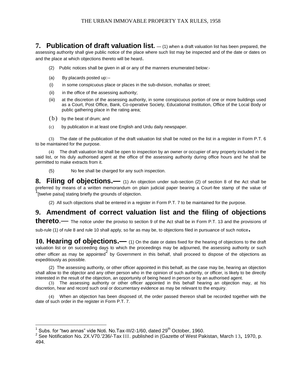**7. Publication of draft valuation list.**  $-$  (1) when a draft valuation list has been prepared, the assessing authority shall give public notice of the place where such list may be inspected and of the date or dates on and the place at which objections thereto will be heard.

- (2) Public notices shall be given in all or any of the manners enumerated below:-
- (a) By placards posted up:--
- (i) in some conspicuous place or places in the sub-division, mohallas or street;
- (ii) in the office of the assessing authority;
- (iii) at the discretion of the assessing authority, in some conspicuous portion of one or more buildings used as a Court, Post Office, Bank, Co-operative Society, Educational Institution, Office of the Local Body or public gathering place in the rating area;
- $(b)$  by the beat of drum; and

 $\overline{a}$ 

(c) by publication in at least one English and Urdu daily newspaper.

(3) The date of the publication of the draft valuation list shall be noted on the list in a register in Form P.T. 6 to be maintained for the purpose.

(4) The draft valuation list shall be open to inspection by an owner or occupier of any property included in the said list, or his duly authorised agent at the office of the assessing authority during office hours and he shall be permitted to make extracts from it.

(5) No fee shall be charged for any such inspection.

**8. Filing of objections.—** (1) An objection under sub-section (2) of section 8 of the Act shall be preferred by means of a written memorandum on plain judicial paper bearing a Court-fee stamp of the value of <sup>1</sup><br>[twelve paisa] stating briefly the grounds of objection.

(2) All such objections shall be entered in a register in Form P.T. 7 to be maintained for the purpose.

# **9. Amendment of correct valuation list and the filing of objections**

**thereto**.— The notice under the proviso to section 9 of the Act shall be in Form P.T. 13 and the provisions of

sub-rule (1) of rule 8 and rule 10 shall apply, so far as may be, to objections filed in pursuance of such notice**.**

**10. Hearing of objections.—** (1) On the date or dates fixed for the hearing of objections to the draft valuation list or on succeeding days to which the proceedings may be adjourned, the assessing authority or such other officer as may be appointed<sup>2</sup> by Government in this behalf, shall proceed to dispose of the objections as expeditiously as possible.

(2) The assessing authority, or other officer appointed in this behalf, as the case may be, hearing an objection shall allow to the objector and any other person who in the opinion of such authority, or officer, is likely to be directly interested in the result of the objection, an opportunity of being heard in person or by an authorised agent.

(3) The assessing authority or other officer appointed in this behalf hearing an objection may, at his discretion, hear and record such oral or documentary evidence as may be relevant to the enquiry.

(4) When an objection has been disposed of, the order passed thereon shall be recorded together with the date of such order in the register in Form P.T. 7.

<sup>&</sup>lt;sup>1</sup> Subs. for "two annas" vide Noti. No.Tax-III/2-1/60, dated 29<sup>th</sup> October, 1960.

<sup>2</sup> See Notification No*.* 2X.V70.'236/-Tax III. published in (Gazette of West Pakistan, March 13*,* 1970, p. 494.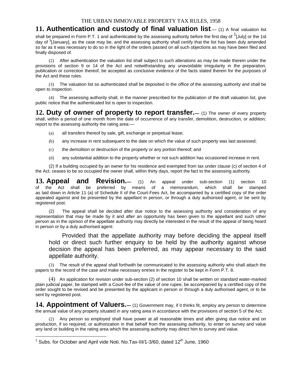# **11. Authentication and custody of final valuation list**.— (1) A final valuation list

shall be prepared in Form P.T. 1 and authenticated by the assessing authority before the first day of <sup>1</sup>[July] or the 1st day of <sup>3</sup>[January], as the case may be, and the assessing authority shall certify that the list has been duly amended so far as it was necessary to do so in the light of the orders passed on all such objections as may have been filed and finally disposed of.

(2) After authentication the valuation list shall subject to such alterations as may be made therein under the provisions of section 9 or 14 of the Act and notwithstanding any unavoidable irregularity in the preparation, publication or correction thereof, be accepted as conclusive evidence of the facts stated therein for the purposes of the Act and these rules.

(3) The valuation list so authenticated shall be deposited in the office of the assessing authority and shall be open to inspection.

(4) The assessing authority shall, in the manner prescribed for the publication of the draft valuation list, give public notice that the authenticated list is open to inspection.

**12. Duty of owner of property to report transfer.—** (1) The owner of every property shall, within a period of one month from the date of occurrence of any transfer, demolition, destruction, or addition; report to the assessing authority the rating area:—

- (a) all transfers thereof by sale, gift, exchange or perpetual lease;
- (b) any increase in rent subsequent to the date on which the value of such property was last assessed;
- (c) the demolition or destruction of the property or any portion thereof; and
- (d) any substantial addition to the property whether or not such addition has occasioned increase in rent.

(2) If a building occupied by an owner for his residence and exempted from tax under clause (c) of section 4 of the Act, ceases to be so occupied the owner shall, within thirty days, report the fact to the assessing authority.

**13. Appeal and Revision.—** (1) An appeal under sub-section (1) section 10 of the Act shall be preferred by means of a memorandum, which shall be stamped as laid down in Article 11 (a) of Schedule II of the Court-Fees Act, be accompanied by a certified copy of the order appealed against and be presented by the appellant in person, or through a duly authorised agent, or be sent by registered post.

(2) The appeal shall be decided after due notice to the assessing authority and consideration of any representation that may be made by it and after an opportunity has been given to the appellant and such other person as in the opinion of the appellate authority may directly be interested in the result of the appeal of being heard in person or by a duly authorised agent:

Provided that the appellate authority may before deciding the appeal itself hold or direct such further enquiry to be held by the authority against whose decision the appeal has been preferred, as may appear necessary to the said appellate authority.

(3) The result of the appeal shall forthwith be communicated to the assessing authority who shall attach the papers to the record of the case and make necessary entries in the register to be kept in Form P.T. 8.

(4) An application for revision under sub-section (2) of section 10 shall be written on standard water-marked plain judicial paper, be stamped with a Court-fee of the value of one rupee, be accompanied by a certified copy of the order sought to be revised and be presented by the applicant in person or through a duly authorised agent, or to be sent by registered post.

14. Appointment of Valuers.— (1) Government may, if it thinks fit, employ any person to determine the annual value of any property situated in any rating area in accordance with the provisions of section 5 of the Act.

(2) Any person so employed shall have power at all reasonable times and after giving due notice and on production, if so required, or authorization in that behalf from the assessing authority, to enter on survey and value any land or building in the rating area which the assessing authority may direct him to survey and value.

 $\overline{a}$ 

<sup>&</sup>lt;sup>1</sup> Subs. for October and April vide Noti. No.Tax-III/1-3/60, dated 12<sup>th</sup> June, 1960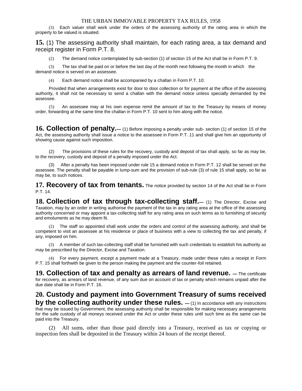(3) Each valuer shall work under the orders of the assessing authority of the rating area in which the property to be valued is situated.

**15.** (1) The assessing authority shall maintain, for each rating area, a tax demand and receipt register in Form P.T. 8.

The demand notice contemplated by sub-section (1) of section 15 of the Act shall be in Form P.T. 9.

(3) The tax shall be paid on or before the last day of the month next following the month in which the demand notice is served on an assessee.

(4) Each demand notice shall be accompanied by a challan in Form P.T. 10:

Provided that when arrangements exist for door to door collection or for payment at the office of the assessing authority, it shall not be necessary to send a challan with the demand notice unless specially demanded by the assessee.

(5) An assessee may at his own expense remit the amount of tax to the Treasury by means of money order, forwarding at the same time the challan in Form P.T. 10 sent to him along with the notice.

**16. Collection of penalty.—** (1) Before imposing a penalty under sub- section (1) of section 15 of the Act, the assessing authority shall issue a notice to the assessee in Form P.T. 11 and shall give him an opportunity of showing cause against such imposition.

(2) The provisions of these rules for the recovery, custody and deposit of tax shall apply, so far as may be, to the recovery, custody and deposit of a penalty imposed under the Act.

After a penalty has been imposed under rule 15 a demand notice in Form P.T. 12 shall be served on the assessee. The penalty shall be payable in lump-sum and the provision of sub-rule (3) of rule 15 shall apply, so far as may be, to such notices.

**17. Recovery of tax from tenants.** The notice provided by section 14 of the Act shall be in Form P.T. 14.

**18. Collection of tax through tax-collecting staff.—** (1) The Director, Excise and Taxation, may by an order in writing authorise the payment of the tax in any rating area at the office of the assessing authority concerned or may appoint a tax-collecting staff for any rating area on such terms as to furnishing of security and emoluments as he may deem fit.

(2) The staff so appointed shall work under the orders and control of the assessing authority, and shall be competent to visit an assessee at his residence or place of business with a view to collecting the tax and penalty, if any, imposed on him.

(3) A member of such tax-collecting staff shall be furnished with such credentials to establish his authority as may be prescribed by the Director, Excise and Taxation.

(4) For every payment, except a payment made at a Treasury, made under these rules a receipt in Form P.T. 15 shall forthwith be given to the person making the payment and the counter-foil retained.

**19. Collection of tax and penalty as arrears of land revenue. —** The certificate for recovery, as arrears of land revenue, of any sum due on account of tax or penalty which remains unpaid after the due date shall be in Form P.T. 16.

# **20. Custody and payment into Government Treasury of sums received by the collecting authority under these rules.**  $-$  (1) In accordance with any instructions

that may be issued by Government, the assessing authority shall be responsible for making necessary arrangements for the safe custody of all moneys received under the Act or under these rules until such time as the same can be paid into the Treasury.

All sums, other than those paid directly into a Treasury, received as tax or copying or inspection fees shall be deposited in the Treasury within 24 hours of the receipt thereof.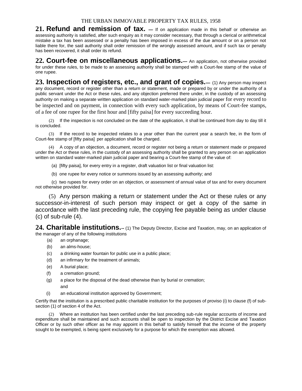21. Refund and remission of tax.  $-$  If on application made in this behalf or otherwise an assessing authority is satisfied, after such enquiry as it may consider necessary, that through a clerical or arithmetical mistake a tax has been assessed or a penalty has been imposed in excess of the due amount or on a person not liable there for, the said authority shall order remission of the wrongly assessed amount, and if such tax or penalty has been recovered, it shall order its refund.

**22. Court-fee on miscellaneous applications.—** An application, not otherwise provided for under these rules, to be made to an assessing authority shall be stamped with a Court-fee stamp of the value of one rupee.

**23. Inspection of registers, etc., and grant of copies.—** (1) Any person may inspect any document, record or register other than a return or statement, made or prepared by or under the authority of a public servant under the Act or these rules, and any objection preferred there under, in the custody of an assessing authority on making a separate written application on standard water-marked plain judicial paper for every record to be inspected and on payment, in connection with every such application, by means of Court-fee stamps, of a fee of one rupee for the first hour and [fifty paisa] for every succeeding hour.

(2) If the inspection is not concluded on the date of the application, it shall be continued from day to day till it is concluded.

(3) If the record to be inspected relates to a year other than the current year a search fee, in the form of Court-fee stamp of [fifty paisa] per application shall be charged.

(4) A copy of an objection, a document, record or register not being a return or statement made or prepared under the Act or these rules, in the custody of an assessing authority shall be granted to any person on an application written on standard water-marked plain judicial paper and bearing a Court-fee stamp of the value of:

- (a) [fifty paisa], for every entry in a register, draft valuation list or final valuation list:
- (b) one rupee for every notice or summons issued by an assessing authority; and

 (c) two rupees for every order on an objection, or assessment of annual value of tax and for every document not otherwise provided for.

(5) Any person making a return or statement under the Act or these rules or any successor-in-interest of such person may inspect or get a copy of the same in accordance with the last preceding rule, the copying fee payable being as under clause (c) of sub-rule (4).

24. Charitable institutions.-- (1) The Deputy Director, Excise and Taxation, may, on an application of the manager of any of the following institutions

- (a) an orphanage;
- (b) an alms-house;
- (c) a drinking water fountain for public use in a public place;
- (d) an infirmary for the treatment of animals;
- (e) A burial place;
- (f) a cremation ground;
- (g) a place for the disposal of the dead otherwise than by burial or cremation; and
- (i) an educational institution approved by Government;

Certify that the institution is a prescribed public charitable institution for the purposes of proviso (i) to clause (f) of subsection (1) of section 4 of the Act.

(2) Where an institution has been certified under the last preceding sub-rule regular accounts of income and expenditure shall be maintained and such accounts shall be open to inspection by the District Excise and Taxation Officer or by such other officer as he may appoint in this behalf to satisfy himself that the income of the property sought to be exempted, is being spent exclusively for a purpose for which the exemption was allowed.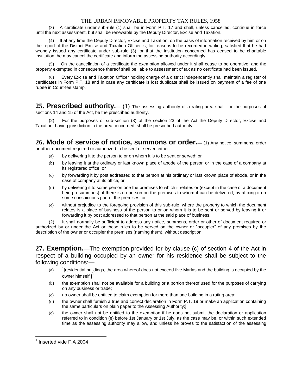(3) A certificate under sub-rule (1) shall be in Form P.T. 17 and shall, unless cancelled, continue in force until the next assessment, but shall be renewable by the Deputy Director, Excise and Taxation.

(4) If at any time the Deputy Director, Excise and Taxation, on the basis of information received by him or on the report of the District Excise and Taxation Officer is, for reasons to be recorded in writing, satisfied that he had wrongly issued any certificate under sub-rule (3), or that the institution concerned has ceased to be charitable institution, he may cancel the certificate and inform the assessing authority accordingly.

(5) On the cancellation of a certificate the exemption allowed under it shall cease to be operative, and the property exempted in consequence thereof shall be liable to assessment of tax as no certificate had been issued.

(6) Every Excise and Taxation Officer holding charge of a district independently shall maintain a register of certificates in Form P.T. 18 and in case any certificate is lost duplicate shall be issued on payment of a fee of one rupee in Court-fee stamp.

**25. Prescribed authority.—** (1) The assessing authority of a rating area shall, for the purposes of sections 14 and 15 of the Act, be the prescribed authority.

For the purposes of sub-section (3) of the section 23 of the Act the Deputy Director, Excise and Taxation, having jurisdiction in the area concerned, shall be prescribed authority.

**26. Mode of service of notice, summons or order.—** (1) Any notice, summons, order or other document required or authorized to be sent or served either:—

- (a) by delivering it to the person to or on whom it is to be sent or served; or
- (b) by leaving it at the ordinary or last known place of abode of the person or in the case of a company at its registered office; or
- (c) by forwarding it by post addressed to that person at his ordinary or last known place of abode, or in the case of company at its office; or
- (d) by delivering it to some person one the premises to which it relates or (except in the case of a document being a summons), if there is no person on the premises to whom it can be delivered, by affixing it on some conspicuous part of the premises; or
- (e) without prejudice to the foregoing provision of this sub-rule, where the property to which the document relates is a place of business of the person to or on whom it is to be sent or served by leaving it or forwarding it by post addressed to that person at the said place of business.

(2) It shall normally be sufficient to address any notice, summons, order or other of document required or authorized by or under the Act or these rules to be served on the owner or "occupier" of any premises by the description of the owner or occupier the premises (naming them), without description.

**27. Exemption.—**The exemption provided for by clause (c) of section 4 of the Act in respect of a building occupied by an owner for his residence shall be subject to the following conditions:—

- $(a)$ <sup>1</sup>[residential buildings, the area whereof does not exceed five Marlas and the building is occupied by the owner himself:1
- (b) the exemption shall not be available for a building or a portion thereof used for the purposes of carrying on any business or trade;
- (c) no owner shall be entitled to claim exemption for more than one building in a rating area;
- (d) the owner shall furnish a true and correct declaration in Form P.T. 19 or make an application containing the same particulars on plain paper to the Assessing Authority;]
- (e) the owner shall not be entitled to the exemption if he does not submit the declaration or application referred to in condition (e) before 1st January or 1st July, as the case may be, or within such extended time as the assessing authority may allow, and unless he proves to the satisfaction of the assessing

 $\overline{a}$ 

<sup>&</sup>lt;sup>1</sup> Inserted vide F.A 2004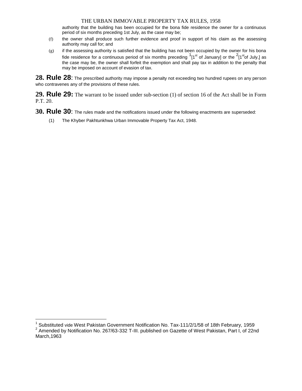authority that the building has been occupied for the bona fide residence the owner for a continuous period of six months preceding 1st July, as the case may be;

- (f) the owner shall produce such further evidence and proof in support of his claim as the assessing authority may call for; and
- (g) if the assessing authority is satisfied that the building has not been occupied by the owner for his bona fide residence for a continuous period of six months preceding  $1_{1}^{3}$  of January] or the  $2_{1}^{3}$  of July,] as the case may be, the owner shall forfeit the exemption and shall pay tax in addition to the penalty that may be imposed on account of evasion of tax.

**28. Rule 28**: The prescribed authority may impose a penalty not exceeding two hundred rupees on any person who contravenes any of the provisions of these rules.

**29. Rule 29:** The warrant to be issued under sub-section (1) of section 16 of the Act shall be in Form P.T. 20.

- **30. Rule 30**: The rules made and the notifications issued under the following enactments are superseded:
	- (1) The Khyber Pakhtunkhwa Urban Immovable Property Tax Act, 1948.

 $\overline{a}$ <sup>1</sup> Substituted vide West Pakistan Government Notification No. Tax-111/2/1/58 of 18th February, 1959

<sup>&</sup>lt;sup>2</sup> Amended by Notification No. 267/63-332 T-III. published on Gazette of West Pakistan, Part I, of 22nd March,1963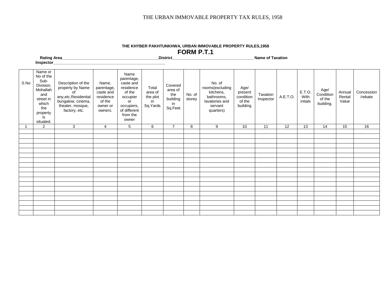|      | Rating Area_                                                                                                                          |                                                                                                                                 |                                                                                |                                                                                                                             |                                                | District                                               |                  |                                                                                                |                                                    | <b>Name of Taxation</b> |          |                           |                                          |                           |                       |
|------|---------------------------------------------------------------------------------------------------------------------------------------|---------------------------------------------------------------------------------------------------------------------------------|--------------------------------------------------------------------------------|-----------------------------------------------------------------------------------------------------------------------------|------------------------------------------------|--------------------------------------------------------|------------------|------------------------------------------------------------------------------------------------|----------------------------------------------------|-------------------------|----------|---------------------------|------------------------------------------|---------------------------|-----------------------|
| S.No | Inspector<br>Name or<br>No of the<br>Sub-<br>Division,<br>Mohallah<br>and<br>street in<br>which<br>the<br>property<br>is<br>situated. | Description of the<br>property by Name<br>of<br>any, etc. Residential<br>bungalow, cinema,<br>theater, mosque,<br>factory, etc. | Name,<br>parentage,<br>caste and<br>residence<br>of the<br>owner or<br>owners. | Name<br>parentage,<br>caste and<br>residence<br>of the<br>occupier<br>or<br>occupiers,<br>of different<br>from the<br>owner | Total<br>area of<br>the plot<br>in<br>Sq.Yards | Covered<br>area of<br>the<br>building<br>in<br>Sq.Feet | No. of<br>storey | No. of<br>rooms(excluding<br>kitchens,<br>bathrooms,<br>lavatories and<br>servant<br>quarters) | Age/<br>present<br>condition<br>of the<br>building | Taxation<br>Inspector   | A.E.T.O. | E.T.O.<br>With<br>intials | Age/<br>Condition<br>of the<br>building. | Annual<br>Rental<br>Value | Concession<br>/rebate |
|      | $\overline{2}$                                                                                                                        | 3                                                                                                                               | $\overline{4}$                                                                 | 5 <sup>5</sup>                                                                                                              | 6                                              | $\overline{7}$                                         | 8                | 9                                                                                              | 10                                                 | 11                      | 12       | 13                        | 14                                       | 15                        | 16                    |
|      |                                                                                                                                       |                                                                                                                                 |                                                                                |                                                                                                                             |                                                |                                                        |                  |                                                                                                |                                                    |                         |          |                           |                                          |                           |                       |
|      |                                                                                                                                       |                                                                                                                                 |                                                                                |                                                                                                                             |                                                |                                                        |                  |                                                                                                |                                                    |                         |          |                           |                                          |                           |                       |
|      |                                                                                                                                       |                                                                                                                                 |                                                                                |                                                                                                                             |                                                |                                                        |                  |                                                                                                |                                                    |                         |          |                           |                                          |                           |                       |
|      |                                                                                                                                       |                                                                                                                                 |                                                                                |                                                                                                                             |                                                |                                                        |                  |                                                                                                |                                                    |                         |          |                           |                                          |                           |                       |
|      |                                                                                                                                       |                                                                                                                                 |                                                                                |                                                                                                                             |                                                |                                                        |                  |                                                                                                |                                                    |                         |          |                           |                                          |                           |                       |
|      |                                                                                                                                       |                                                                                                                                 |                                                                                |                                                                                                                             |                                                |                                                        |                  |                                                                                                |                                                    |                         |          |                           |                                          |                           |                       |
|      |                                                                                                                                       |                                                                                                                                 |                                                                                |                                                                                                                             |                                                |                                                        |                  |                                                                                                |                                                    |                         |          |                           |                                          |                           |                       |
|      |                                                                                                                                       |                                                                                                                                 |                                                                                |                                                                                                                             |                                                |                                                        |                  |                                                                                                |                                                    |                         |          |                           |                                          |                           |                       |
|      |                                                                                                                                       |                                                                                                                                 |                                                                                |                                                                                                                             |                                                |                                                        |                  |                                                                                                |                                                    |                         |          |                           |                                          |                           |                       |
|      |                                                                                                                                       |                                                                                                                                 |                                                                                |                                                                                                                             |                                                |                                                        |                  |                                                                                                |                                                    |                         |          |                           |                                          |                           |                       |
|      |                                                                                                                                       |                                                                                                                                 |                                                                                |                                                                                                                             |                                                |                                                        |                  |                                                                                                |                                                    |                         |          |                           |                                          |                           |                       |
|      |                                                                                                                                       |                                                                                                                                 |                                                                                |                                                                                                                             |                                                |                                                        |                  |                                                                                                |                                                    |                         |          |                           |                                          |                           |                       |
|      |                                                                                                                                       |                                                                                                                                 |                                                                                |                                                                                                                             |                                                |                                                        |                  |                                                                                                |                                                    |                         |          |                           |                                          |                           |                       |
|      |                                                                                                                                       |                                                                                                                                 |                                                                                |                                                                                                                             |                                                |                                                        |                  |                                                                                                |                                                    |                         |          |                           |                                          |                           |                       |
|      |                                                                                                                                       |                                                                                                                                 |                                                                                |                                                                                                                             |                                                |                                                        |                  |                                                                                                |                                                    |                         |          |                           |                                          |                           |                       |
|      |                                                                                                                                       |                                                                                                                                 |                                                                                |                                                                                                                             |                                                |                                                        |                  |                                                                                                |                                                    |                         |          |                           |                                          |                           |                       |
|      |                                                                                                                                       |                                                                                                                                 |                                                                                |                                                                                                                             |                                                |                                                        |                  |                                                                                                |                                                    |                         |          |                           |                                          |                           |                       |

#### **THE KHYBER PAKHTUNKHWA, URBAN IMMOVABLE PROPERTY RULES,1958 FORM P.T.1**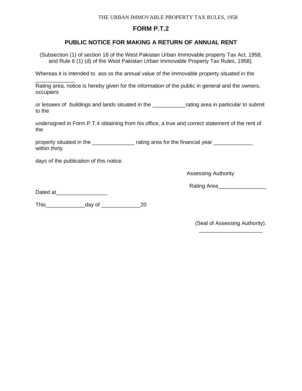# **FORM P.T.2**

# **PUBLIC NOTICE FOR MAKING A RETURN OF ANNUAL RENT**

(Subsection (1) of section 18 of the West Pakistan Urban Immovable property Tax Act, 1958, and Rule 6 (1) (d) of the West Pakistan Urban Immovable Property Tax Rules, 1958).

Whereas it is intended to ass ss the annual value of the immovable property situated in the

\_\_\_\_\_\_\_\_\_\_\_\_\_ Rating area, notice is hereby given for the information of the public in general and the owners, occupiers

or lessees of buildings and lands situated in the \_\_\_\_\_\_\_\_\_\_\_rating area in particular to submit to the

undersigned in Form P.T.4 obtaining from his office, a true and correct statement of the rent of the

property situated in the \_\_\_\_\_\_\_\_\_\_\_\_\_\_\_ rating area for the financial year \_\_\_\_\_\_\_\_\_\_\_ within thirty

days of the publication of this notice.

Assessing Authority

Rating Area\_\_\_\_\_\_\_\_\_\_\_\_\_\_\_\_

Dated at\_\_\_\_\_\_\_\_\_\_\_\_\_\_\_\_\_

This\_\_\_\_\_\_\_\_\_\_\_\_\_day of \_\_\_\_\_\_\_\_\_\_\_\_\_20

(Seal of Assessing Authority). \_\_\_\_\_\_\_\_\_\_\_\_\_\_\_\_\_\_\_\_\_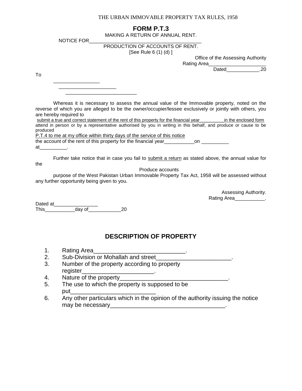# **FORM P.T.3**

MAKING A RETURN OF ANNUAL RENT.

NOTICE FOR

#### PRODUCTION OF ACCOUNTS OF RENT.

[See Rule 6 (1) (d) ]

Office of the Assessing Authority

Rating Area Dated\_\_\_\_\_\_\_\_\_\_\_\_\_\_\_.20

To

|  | ________________ |  |
|--|------------------|--|
|  |                  |  |

Whereas it is necessary to assess the annual value of the Immovable property, noted on the reverse of which you are alleged to be the owner/occupier/lessee exclusively or jointly with others, you are hereby required to

| submit a true and correct statement of the rent of this property for the financial year |  |  |  |  |  |  |  |  |  |                                                                                                                 | in the enclosed form |  |
|-----------------------------------------------------------------------------------------|--|--|--|--|--|--|--|--|--|-----------------------------------------------------------------------------------------------------------------|----------------------|--|
|                                                                                         |  |  |  |  |  |  |  |  |  | attend in person or by a representative authorised by you in writing in this behalf, and produce or cause to be |                      |  |
| produced                                                                                |  |  |  |  |  |  |  |  |  |                                                                                                                 |                      |  |

P.T.4 to me at my office within thirty days of the service of this notice

the account of the rent of this property for the financial year\_\_\_\_\_\_\_\_\_\_\_\_\_\_\_on \_

at\_\_\_\_\_\_\_\_\_\_.

Further take notice that in case you fail to submit a return as stated above, the annual value for the

Produce accounts

purpose of the West Pakistan Urban Immovable Property Tax Act, 1958 will be assessed without any further opportunity being given to you.

> Assessing Authority. Rating Area\_\_\_\_\_\_\_\_\_\_\_.

Dated at \_\_\_\_\_\_\_\_\_\_\_\_\_\_\_\_\_\_\_\_\_\_\_ This\_\_\_\_\_\_\_\_\_\_\_day of\_\_\_\_\_\_\_\_\_\_\_\_20

# **DESCRIPTION OF PROPERTY**

- 1. Rating Area
- 2. Sub-Division or Mohallah and street
- 3. Number of the property according to property register
- 4. Nature of the property\_\_\_\_\_\_\_\_\_\_\_\_\_\_\_\_\_\_\_\_\_\_\_\_\_\_\_\_\_\_\_\_\_.
- 5. The use to which the property is supposed to be  $_{\rm put}$
- 6. Any other particulars which in the opinion of the authority issuing the notice may be necessary example to the set of the set of the set of the set of the set of the set of the set of the set of the set of the set of the set of the set of the set of the set of the set of the set of the set of the set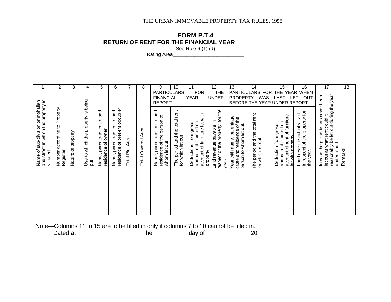# **FORM P.T.4 RETURN OF RENT FOR THE FINANCIAL YEAR\_\_\_\_\_\_\_\_\_\_\_\_\_\_\_\_**

[See Rule 6 (1) (d)]

Rating Area\_\_\_\_\_\_\_\_\_\_\_\_\_\_\_\_\_\_\_\_\_\_\_\_\_\_

|                                                                                      | $\overline{2}$                                 | 3                  | 4                                                | 5.                                                     | 6                                                                    | 7                         | 8                            | 9                                                                           | 10                                                 | 11                                                                                           | $12 \overline{ }$                                                   | 13                                                                                 | 14                                                            | 15                                                                                                         | 16                                                                        | 17                                                                                                                            | 18      |
|--------------------------------------------------------------------------------------|------------------------------------------------|--------------------|--------------------------------------------------|--------------------------------------------------------|----------------------------------------------------------------------|---------------------------|------------------------------|-----------------------------------------------------------------------------|----------------------------------------------------|----------------------------------------------------------------------------------------------|---------------------------------------------------------------------|------------------------------------------------------------------------------------|---------------------------------------------------------------|------------------------------------------------------------------------------------------------------------|---------------------------------------------------------------------------|-------------------------------------------------------------------------------------------------------------------------------|---------|
|                                                                                      |                                                |                    |                                                  |                                                        |                                                                      |                           |                              | <b>PARTICULARS</b><br><b>FINANCIAL</b><br>REPORT.                           |                                                    | <b>FOR</b><br><b>YEAR</b>                                                                    | <b>THE</b><br><b>UNDER</b>                                          | <b>PARTICULARS</b><br><b>PROPERTY</b>                                              | <b>FOR</b><br>WAS<br>BEFORE THE YEAR UNDER REPORT             | <b>THE</b><br><b>YEAR</b><br><b>LAST</b>                                                                   | <b>WHEN</b><br>LET<br>OUT                                                 |                                                                                                                               |         |
| and street in which the property is<br>Name of sub-division or mohallah<br>situated. | Property<br>according to<br>Register<br>Number | Nature of property | Use to which the property is being<br><b>but</b> | and<br>caste<br>residence of owner<br>Name, parentage, | of present occupier<br>and<br>caste<br>Name, parentage,<br>residence | Area<br><b>Total Plot</b> | Area<br><b>Total Covered</b> | and<br>residence of the person to<br>Name, parentage, caste<br>whom let out | The period and the total rent<br>for which let out | account of furniture let with<br>annual rent claimed on<br>Deductions from gross<br>property | for the<br>and revenue payable in<br>espect of the property<br>ear. | rear with name, parentage<br>caste and residence of the<br>berson to whom let out. | period and the total rent<br>for which let out.<br><b>PHT</b> | account of rent of furniture<br>annual rent claimed on<br>Deduction from gross<br><u>let with property</u> | in respect of the property for<br>Land revenue actually paid<br>the year. | reasonably be let out during the year<br>In case the property has never been<br>let out at what rent could it<br>under renort | Remarks |
|                                                                                      |                                                |                    |                                                  |                                                        |                                                                      |                           |                              |                                                                             |                                                    |                                                                                              |                                                                     |                                                                                    |                                                               |                                                                                                            |                                                                           |                                                                                                                               |         |

Note—Columns 11 to 15 are to be filled in only if columns 7 to 10 cannot be filled in. Dated at\_\_\_\_\_\_\_\_\_\_\_\_\_\_\_\_\_\_\_ The\_\_\_\_\_\_\_\_\_\_\_day of\_\_\_\_\_\_\_\_\_\_\_\_\_\_20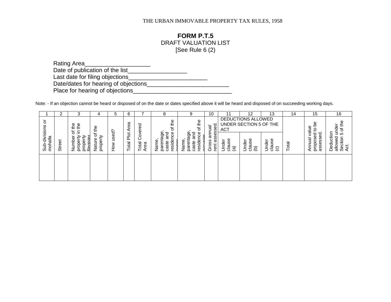# **FORM P.T.5**

# DRAFT VALUATION LIST

[See Rule 6 (2)

| Rating Area                          |  |
|--------------------------------------|--|
| Date of publication of the list      |  |
| Last date for filing objections      |  |
| Date/dates for hearing of objections |  |
| Place for hearing of objections      |  |

Note: - If an objection cannot be heard or disposed of on the date or dates specified above it will be heard and disposed of on succeeding working days.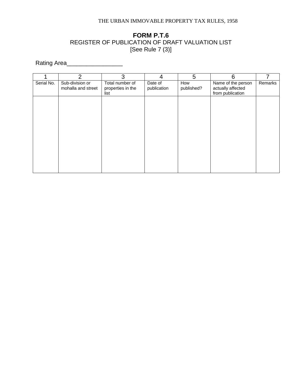# **FORM P.T.6** REGISTER OF PUBLICATION OF DRAFT VALUATION LIST [See Rule 7 (3)]

Rating Area\_\_\_\_\_\_\_\_\_\_\_\_\_\_\_\_\_

|            | $\overline{2}$                        | 3                                            | 4                      | 5                 | 6                                                           |         |
|------------|---------------------------------------|----------------------------------------------|------------------------|-------------------|-------------------------------------------------------------|---------|
| Serial No. | Sub-division or<br>mohalla and street | Total number of<br>properties in the<br>list | Date of<br>publication | How<br>published? | Name of the person<br>actually affected<br>from publication | Remarks |
|            |                                       |                                              |                        |                   |                                                             |         |
|            |                                       |                                              |                        |                   |                                                             |         |
|            |                                       |                                              |                        |                   |                                                             |         |
|            |                                       |                                              |                        |                   |                                                             |         |
|            |                                       |                                              |                        |                   |                                                             |         |
|            |                                       |                                              |                        |                   |                                                             |         |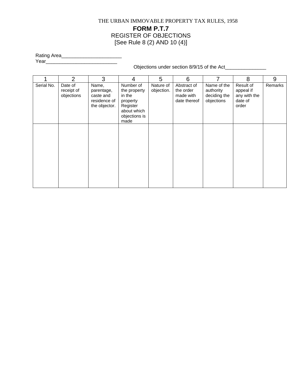# THE URBAN IMMOVABLE PROPERTY TAX RULES, 1958 **FORM P.T.7** REGISTER OF OBJECTIONS [See Rule 8 (2) AND 10 (4)]

Rating Area\_\_\_\_\_\_\_\_\_\_\_\_\_\_\_\_\_\_\_\_\_\_ Year\_\_\_\_\_\_\_\_\_\_\_\_\_\_\_\_\_\_\_\_\_\_\_\_\_\_

Objections under section 8/9/15 of the Act\_\_\_\_\_\_\_\_\_\_\_\_\_\_\_

|            | $\overline{2}$                      | 3                                                                 | 4                                                                                                   | 5                       | 6                                                     | 7                                                      | 8                                                          | 9       |
|------------|-------------------------------------|-------------------------------------------------------------------|-----------------------------------------------------------------------------------------------------|-------------------------|-------------------------------------------------------|--------------------------------------------------------|------------------------------------------------------------|---------|
| Serial No. | Date of<br>receipt of<br>objections | Name,<br>parentage,<br>caste and<br>residence of<br>the objector. | Number of<br>the property<br>in the<br>property<br>Register<br>about which<br>objections is<br>made | Nature of<br>objection. | Abstract of<br>the order<br>made with<br>date thereof | Name of the<br>authority<br>deciding the<br>objections | Result of<br>appeal if<br>any with the<br>date of<br>order | Remarks |
|            |                                     |                                                                   |                                                                                                     |                         |                                                       |                                                        |                                                            |         |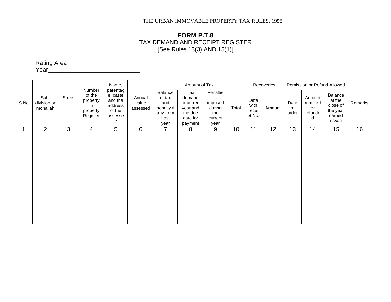# **FORM P.T.8** TAX DEMAND AND RECEIPT REGISTER [See Rules 13(3) AND 15(1)]

Rating Area\_\_\_\_\_\_\_\_\_\_\_\_\_\_\_\_\_\_\_\_\_\_

Year\_\_\_\_\_\_\_\_\_\_\_\_\_\_\_\_\_\_\_\_\_\_\_\_\_\_\_\_

|      |                                 |        |                                                            | Name,                                                                |                             |                                                                    | Amount of Tax                                                              |                                                              |       |                                 | Recoveries |                     | Remission or Refund Allowed              |                                                                 |         |
|------|---------------------------------|--------|------------------------------------------------------------|----------------------------------------------------------------------|-----------------------------|--------------------------------------------------------------------|----------------------------------------------------------------------------|--------------------------------------------------------------|-------|---------------------------------|------------|---------------------|------------------------------------------|-----------------------------------------------------------------|---------|
| S.No | Sub-<br>division or<br>mohallah | Street | Number<br>of the<br>property<br>in<br>property<br>Register | parentag<br>e, caste<br>and the<br>address<br>of the<br>assesse<br>e | Annual<br>value<br>assessed | Balance<br>of tax<br>and<br>penalty if<br>any from<br>Last<br>year | Tax<br>demand<br>for current<br>year and<br>the due<br>date for<br>payment | Penaltie<br>s<br>imposed<br>during<br>the<br>current<br>year | Total | Date<br>with<br>recei<br>pt No. | Amount     | Date<br>of<br>order | Amount<br>remitted<br>or<br>refunde<br>d | Balance<br>at the<br>close of<br>the year<br>carried<br>forward | Remarks |
|      | 2                               | 3      | 4                                                          | 5                                                                    | 6                           | $\overline{7}$                                                     | 8                                                                          | 9                                                            | 10    | 11                              | 12         | 13                  | 14                                       | 15                                                              | 16      |
|      |                                 |        |                                                            |                                                                      |                             |                                                                    |                                                                            |                                                              |       |                                 |            |                     |                                          |                                                                 |         |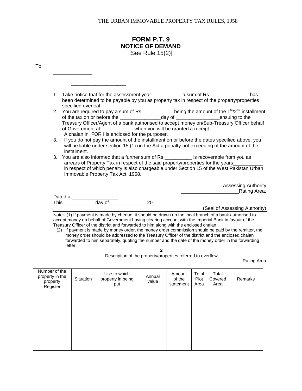# **FORM P.T. 9 NOTICE OF DEMAND** [See Rule 15(2)]

To

letter.

| 1. |                                                                                                                              |                                                                                                                                                                                                                                                                                                                |
|----|------------------------------------------------------------------------------------------------------------------------------|----------------------------------------------------------------------------------------------------------------------------------------------------------------------------------------------------------------------------------------------------------------------------------------------------------------|
|    | specified overleaf.                                                                                                          | been determined to be payable by you as property tax in respect of the property/properties                                                                                                                                                                                                                     |
|    | of Government at____________ when you will be granted a receipt.<br>A chalan in FOR I is enclosed for the purposer.          | 2. You are required to pay a sum of Rs. $\frac{1}{2}$ being the amount of the 1st/2 <sup>nd</sup> installment<br>of the tax on or before the _______________________day of _______________________ensuing to the<br>Treasury Officer/Agent of a bank authorised to accept money on/Sub-Treasury Officer behalf |
| 3. | instalment.                                                                                                                  | If you do not pay the amount of the installment on or before the dates specified above, you<br>will be liable under section 15 (1) on the Act a penalty not exceeding of the amount of the                                                                                                                     |
| 3. | You are also informed that a further sum of Rs. ____________ is recoverable from you as<br>Immovable Property Tax Act, 1958. | arrears of Property Tax in respect of the said property/properties for the years_________<br>in respect of which penalty is also chargeable under Section 15 of the West Pakistan Urban                                                                                                                        |
|    |                                                                                                                              | <b>Assessing Authority</b>                                                                                                                                                                                                                                                                                     |
|    |                                                                                                                              | Rating Area.                                                                                                                                                                                                                                                                                                   |
|    |                                                                                                                              |                                                                                                                                                                                                                                                                                                                |
|    | 20                                                                                                                           |                                                                                                                                                                                                                                                                                                                |
|    |                                                                                                                              | (Seal of Assessing Authority)                                                                                                                                                                                                                                                                                  |

**2**

Description of the property/properties referred to overflow

\_\_\_\_\_\_\_\_\_\_\_\_\_\_\_\_\_\_\_\_\_\_\_\_\_\_\_\_\_\_\_\_\_\_\_\_\_\_\_\_\_\_\_\_\_\_\_\_\_\_\_\_\_\_\_\_\_\_\_\_\_\_\_\_\_\_\_\_\_\_\_\_\_\_\_Rating Area

| Number of the<br>property in the<br>property<br>Register | Situation | Use to which<br>property in being<br>put | Annual<br>value | Amount<br>of the<br>statement | Total<br>Plot<br>Area | Total<br>Covered<br>Area | Remarks |
|----------------------------------------------------------|-----------|------------------------------------------|-----------------|-------------------------------|-----------------------|--------------------------|---------|
|                                                          |           |                                          |                 |                               |                       |                          |         |
|                                                          |           |                                          |                 |                               |                       |                          |         |
|                                                          |           |                                          |                 |                               |                       |                          |         |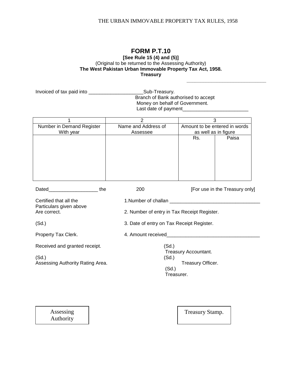**\_\_\_\_\_\_\_\_\_\_\_\_\_\_\_\_\_\_\_\_\_\_\_\_\_\_\_\_\_**

#### **FORM P.T.10 [See Rule 15 (4) and (5)]** (Original to be returned to the Assessing Authority) **The West Pakistan Urban Immovable Property Tax Act, 1958. Treasury**

|                                           | Branch of Bank authorised to accept<br>Money on behalf of Government. |                                      |                                |  |  |  |
|-------------------------------------------|-----------------------------------------------------------------------|--------------------------------------|--------------------------------|--|--|--|
| 1                                         | $\overline{2}$                                                        |                                      | 3                              |  |  |  |
| Number in Demand Register                 | Name and Address of                                                   | Amount to be entered in words        |                                |  |  |  |
| With year                                 | Assessee                                                              | as well as in figure<br>Rs.<br>Paisa |                                |  |  |  |
|                                           |                                                                       |                                      |                                |  |  |  |
| Dated the                                 | 200                                                                   |                                      | [For use in the Treasury only] |  |  |  |
| Certified that all the                    |                                                                       |                                      |                                |  |  |  |
| Particulars given above<br>Are correct.   | 2. Number of entry in Tax Receipt Register.                           |                                      |                                |  |  |  |
| (Sd.)                                     | 3. Date of entry on Tax Receipt Register.                             |                                      |                                |  |  |  |
| Property Tax Clerk.                       |                                                                       |                                      |                                |  |  |  |
| Received and granted receipt.             | (Sd.)                                                                 |                                      |                                |  |  |  |
|                                           |                                                                       | Treasury Accountant.                 |                                |  |  |  |
| (Sd.)<br>Assessing Authority Rating Area. | (Sd.)                                                                 | Treasury Officer.                    |                                |  |  |  |
|                                           | (Sd.)                                                                 | Treasurer.                           |                                |  |  |  |
|                                           |                                                                       |                                      |                                |  |  |  |
|                                           |                                                                       |                                      |                                |  |  |  |

Assessing Authority

Office Stamp.

Treasury Stamp.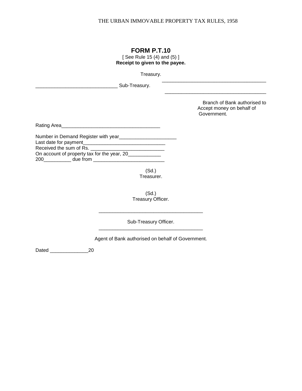\_\_\_\_\_\_\_\_\_\_\_\_\_\_\_\_\_\_\_\_\_\_\_\_\_\_\_\_\_\_\_\_\_\_\_\_\_\_

# **FORM P.T.10**

[ See Rule 15 (4) and (5) ] **Receipt to given to the payee.**

Treasury.

| Sub-Treasury.                                                                                                                                                                                                                                                                                                                                                          |                                                                          |
|------------------------------------------------------------------------------------------------------------------------------------------------------------------------------------------------------------------------------------------------------------------------------------------------------------------------------------------------------------------------|--------------------------------------------------------------------------|
|                                                                                                                                                                                                                                                                                                                                                                        | Branch of Bank authorised to<br>Accept money on behalf of<br>Government. |
| Rating Area                                                                                                                                                                                                                                                                                                                                                            |                                                                          |
| Number in Demand Register with year<br>Received the sum of Rs.<br>On account of property tax for the year, 20<br>200 due from the contract of the contract of the contract of the contract of the contract of the contract of the contract of the contract of the contract of the contract of the contract of the contract of the contract of t<br>(Sd.)<br>Treasurer. |                                                                          |

(Sd.) Treasury Officer.

Sub-Treasury Officer. \_\_\_\_\_\_\_\_\_\_\_\_\_\_\_\_\_\_\_\_\_\_\_\_\_\_\_\_\_\_\_\_\_\_\_\_\_\_

\_\_\_\_\_\_\_\_\_\_\_\_\_\_\_\_\_\_\_\_\_\_\_\_\_\_\_\_\_\_\_\_\_\_\_\_\_\_

Agent of Bank authorised on behalf of Government.

Dated 20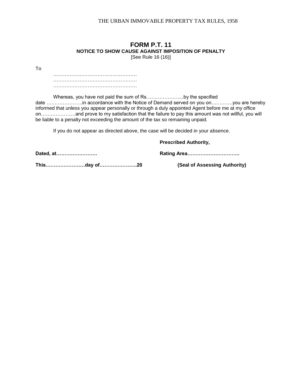# **FORM P.T. 11 NOTICE TO SHOW CAUSE AGAINST IMPOSITION OF PENALTY**

[See Rule 16 (16)]

To

…………………………………………… …………………………………………… ……………………………………………

Whereas, you have not paid the sum of Rs…………………..by the specified date ………………….in accordance with the Notice of Demand served on you on………….you are hereby informed that unless you appear personally or through a duly appointed Agent before me at my office on…………………and prove to my satisfaction that the failure to pay this amount was not willful, you will be liable to a penalty not exceeding the amount of the tax so remaining unpaid.

If you do not appear as directed above, the case will be decided in your absence.

**Prescribed Authority,**

**Dated, at……………………. Rating Area…………………………..**

**This……………………day of…………………..20 (Seal of Assessing Authority)**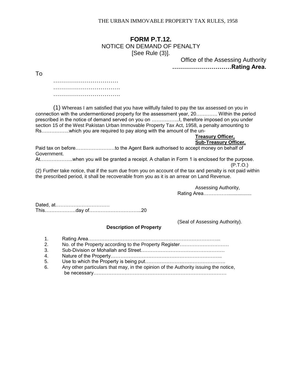# **FORM P.T.12.** NOTICE ON DEMAND OF PENALTY [See Rule (3)].

Office of the Assessing Authority **…………………………Rating Area.**

To

…………………………………………… ………………………………………… …………………………………

(1) Whereas I am satisfied that you have willfully failed to pay the tax assessed on you in connection with the undermentioned property for the assessment year, 20…………. Within the period prescribed in the notice of demand served on you on ……………..I, therefore imposed on you under section 15 of the West Pakistan Urban Immovable Property Tax Act, 1958, a penalty amounting to Rs……………..which you are required to pay along with the amount of the un-

#### **Treasury Officer, Sub-Treasury Officer,**

Paid tax on before……………………to the Agent Bank authorised to accept money on behalf of Government.

At………………..when you will be granted a receipt. A challan in Form 1 is enclosed for the purpose.  $(P.T.O.)$ 

(2) Further take notice, that if the sum due from you on account of the tax and penalty is not paid within the prescribed period, it shall be recoverable from you as it is an arrear on Land Revenue.

Assessing Authority,

Rating Area…………….................

Dated, at…………………………… This……………….day of…………………………..20

(Seal of Assessing Authority).

#### **Description of Property**

1. Rating Area……………………………………………………………………... 2. No. of the Property according to the Property Register.............................. 3. Sub-Division or Mohallah and Street…………………………………………… 4. Nature of the Property………………………………………………………….. 5. Use to which the Property is being put…………………………………………. 6. Any other particulars that may, in the opinion of the Authority issuing the notice, be necessary………………………………………………………………………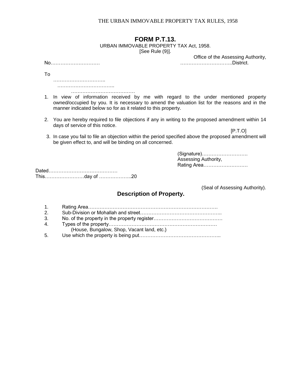# **FORM P.T.13.**

URBAN IMMOVABLE PROPERTY TAX Act, 1958.

[See Rule (9)].

Office of the Assessing Authority, No………………………… …………………………..District.

…………………………..

To

 …………………………….. …………………………………

1. In view of information received by me with regard to the under mentioned property owned/occupied by you. It is necessary to amend the valuation list for the reasons and in the manner indicated below so for as it related to this property.

2. You are hereby required to file objections if any in writing to the proposed amendment within 14 days of service of this notice.

 $[P.T.O]$ 

 3. In case you fail to file an objection within the period specified above the proposed amendment will be given effect to, and will be binding on all concerned.

> (Signature)………………………. Assessing Authority, Rating Area………………………

Dated…………………………………… This……………………day of ………………..20

(Seal of Assessing Authority).

# **Description of Property.**

| $1_{-}$                                    |  |
|--------------------------------------------|--|
| 2.                                         |  |
| 3.                                         |  |
| $4_{-}$                                    |  |
| (House, Bungalow, Shop, Vacant land, etc.) |  |

| 5. |  |  |  |  |
|----|--|--|--|--|
|----|--|--|--|--|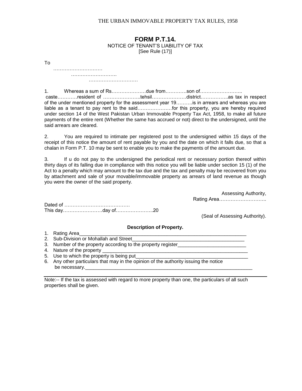#### **FORM P.T.14.** NOTICE OF TENANT'S LIABILITY OF TAX [See Rule (17)]

To ………………………… ………………………. …………………………

1. Whereas a sum of Rs…………………due from………….son of…………………….. caste…………resident of …………………..tehsil…………………district……………..as tax in respect of the under mentioned property for the assessment year 19……….is in arrears and whereas you are liable as a tenant to pay rent to the said…………………for this property, you are hereby required under section 14 of the West Pakistan Urban Immovable Property Tax Act, 1958, to make all future payments of the entire rent (Whether the same has accrued or not) direct to the undersigned, until the said arrears are cleared.

2. You are required to intimate per registered post to the undersigned within 15 days of the receipt of this notice the amount of rent payable by you and the date on which it falls due, so that a chalan in Form P.T. 10 may be sent to enable you to make the payments of the amount due.

3. If u do not pay to the undersigned the periodical rent or necessary portion thereof within thirty days of its falling due in compliance with this notice you will be liable under section 15 (1) of the Act to a penalty which may amount to the tax due and the tax and penalty may be recovered from you by attachment and sale of your movable/immovable property as arrears of land revenue as though you were the owner of the said property.

> Assessing Authority, Rating Area………………………..

Dated of …………………………………. This day……………………day of…………………..20

(Seal of Assessing Authority).

**Description of Property.**

- 1. Rating Area
- 2. Sub-Division or Mohallah and Street
- 3. Number of the property according to the property register\_\_\_\_\_\_\_\_\_\_\_\_\_\_\_\_\_\_\_\_
- 4. Nature of the property
- 5. Use to which the property is being put
- 6. Any other particulars that may in the opinion of the authority issuing the notice be necessary.

Note:-- If the tax is assessed with regard to more property than one, the particulars of all such properties shall be given.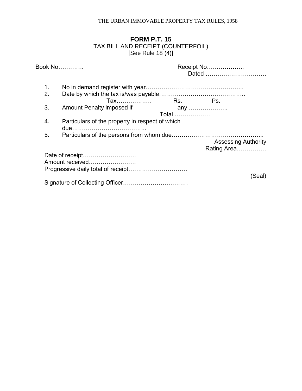# **FORM P.T. 15** TAX BILL AND RECEIPT (COUNTERFOIL) [See Rule 18 (4)]

| <b>Book No</b> |                                                 | Receipt No<br>Dated |                                           |        |
|----------------|-------------------------------------------------|---------------------|-------------------------------------------|--------|
| 1.<br>2.       |                                                 |                     |                                           |        |
|                | Tax  Rs. Ps.                                    |                     |                                           |        |
| 3.             | Amount Penalty imposed if                       | Total               | any                                       |        |
| 4.             | Particulars of the property in respect of which |                     |                                           |        |
| 5.             |                                                 |                     |                                           |        |
|                |                                                 |                     | <b>Assessing Authority</b><br>Rating Area |        |
|                | Date of receipt<br>Amount received              |                     |                                           |        |
|                |                                                 |                     |                                           | (Seal) |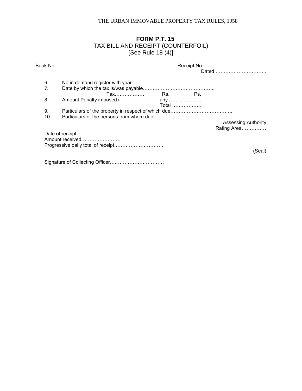# **FORM P.T. 15** TAX BILL AND RECEIPT (COUNTERFOIL) [See Rule 18 (4)]

| Book No |                                    | Receipt No   | Dated                                     |
|---------|------------------------------------|--------------|-------------------------------------------|
| 6.      |                                    |              |                                           |
|         | Tax  Rs. Ps.                       |              |                                           |
| 8.      | Amount Penalty imposed if          | any<br>Total |                                           |
| 9.      |                                    |              |                                           |
| 10.     |                                    |              |                                           |
|         |                                    |              | <b>Assessing Authority</b><br>Rating Area |
|         | Date of receipt<br>Amount received |              |                                           |
|         |                                    |              | (Seal)                                    |
|         |                                    |              |                                           |

Signature of Collecting Officer……………………………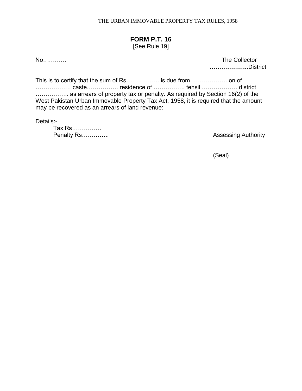# **FORM P.T. 16**

[See Rule 19]

No………… The Collector **………………..**District

This is to certify that the sum of Rs…………….. is due from………………. on of ……………… caste……………. residence of ……………. tehsil ……………… district …………….. as arrears of property tax or penalty. As required by Section 16(2) of the West Pakistan Urban Immovable Property Tax Act, 1958, it is required that the amount may be recovered as an arrears of land revenue:-

Details:-

Tax Rs…………… **Penalty Rs………….. Penalty Rsumman Penalty Rsumman Assessing Authority** 

(Seal)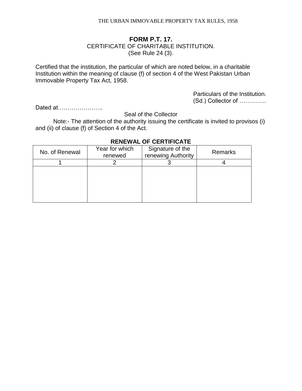# **FORM P.T. 17.** CERTIFICATE OF CHARITABLE INSTITUTION. (See Rule 24 (3).

Certified that the institution, the particular of which are noted below, in a charitable Institution within the meaning of clause (f) of section 4 of the West Pakistan Urban Immovable Property Tax Act, 1958.

> Particulars of the Institution. (Sd.) Collector of …………..

Dated at…………………..

Seal of the Collector

Note:- The attention of the authority issuing the certificate is invited to provisos (i) and (ii) of clause (f) of Section 4 of the Act.

| No. of Renewal | Year for which<br>renewed | Signature of the<br>renewing Authority | Remarks |
|----------------|---------------------------|----------------------------------------|---------|
|                |                           |                                        |         |
|                |                           |                                        |         |
|                |                           |                                        |         |
|                |                           |                                        |         |
|                |                           |                                        |         |

#### **RENEWAL OF CERTIFICATE**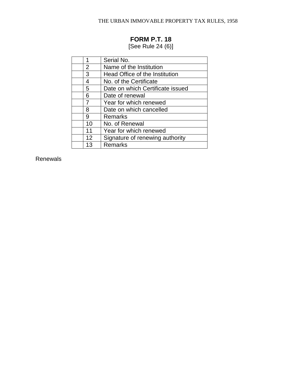# **FORM P.T. 18**

[See Rule 24 (6)]

| 1  | Serial No.                       |
|----|----------------------------------|
| 2  | Name of the Institution          |
| 3  | Head Office of the Institution   |
| 4  | No. of the Certificate           |
| 5  | Date on which Certificate issued |
| 6  | Date of renewal                  |
| 7  | Year for which renewed           |
| 8  | Date on which cancelled          |
| 9  | <b>Remarks</b>                   |
| 10 | No. of Renewal                   |
| 11 | Year for which renewed           |
| 12 | Signature of renewing authority  |
| 13 | <b>Remarks</b>                   |

Renewals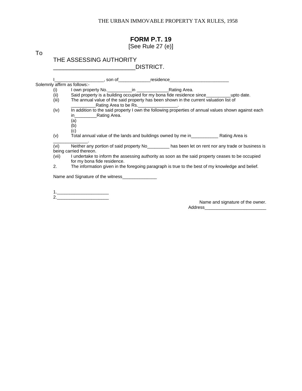# **FORM P.T. 19**

[See Rule 27 (e)]

To

# THE ASSESSING AUTHORITY \_\_\_\_\_\_\_\_\_\_\_\_\_\_\_\_\_\_\_\_\_\_\_\_\_DISTRICT.

|                              | ________________, son of______________residence_________________________________                                                            |
|------------------------------|---------------------------------------------------------------------------------------------------------------------------------------------|
| Solemnly affirm as follows:- |                                                                                                                                             |
| (i)                          |                                                                                                                                             |
| (iii)                        | Said property is a building occupied for my bona fide residence since_____________upto date.                                                |
| (iii)                        | The annual value of the said property has been shown in the current valuation list of<br>Rating Area to be Rs.                              |
| (iv)                         | In addition to the said property I own the following properties of annual values shown against each<br>in Rating Area.<br>(a)<br>(b)<br>(c) |
| (v)                          | Total annual value of the lands and buildings owned by me in Theorem Rating Area is                                                         |
| (vi)                         | Neither any portion of said property No _________ has been let on rent nor any trade or business is                                         |
|                              | being carried thereon.                                                                                                                      |
| (vii)                        | I undertake to inform the assessing authority as soon as the said property ceases to be occupied<br>for my bona fide residence.             |
| 2.                           | The information given in the foregoing paragraph is true to the best of my knowledge and belief.                                            |
|                              | Name and Signature of the witness                                                                                                           |

1.\_\_\_\_\_\_\_\_\_\_\_\_\_\_\_\_\_\_\_\_\_ 2.\_\_\_\_\_\_\_\_\_\_\_\_\_\_\_\_\_\_\_\_\_

Name and signature of the owner. Address\_\_\_\_\_\_\_\_\_\_\_\_\_\_\_\_\_\_\_\_\_\_\_\_\_